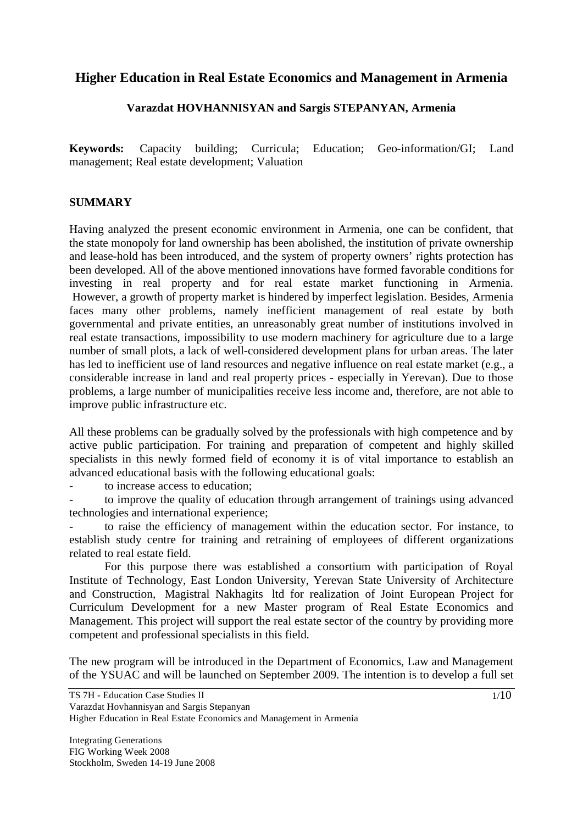# **Higher Education in Real Estate Economics and Management in Armenia**

### **Varazdat HOVHANNISYAN and Sargis STEPANYAN, Armenia**

**Keywords:** Capacity building; Curricula; Education; Geo-information/GI; Land management; Real estate development; Valuation

### **SUMMARY**

Having analyzed the present economic environment in Armenia, one can be confident, that the state monopoly for land ownership has been abolished, the institution of private ownership and lease-hold has been introduced, and the system of property owners' rights protection has been developed. All of the above mentioned innovations have formed favorable conditions for investing in real property and for real estate market functioning in Armenia. However, a growth of property market is hindered by imperfect legislation. Besides, Armenia faces many other problems, namely inefficient management of real estate by both governmental and private entities, an unreasonably great number of institutions involved in real estate transactions, impossibility to use modern machinery for agriculture due to a large number of small plots, a lack of well-considered development plans for urban areas. The later has led to inefficient use of land resources and negative influence on real estate market (e.g., a considerable increase in land and real property prices - especially in Yerevan). Due to those problems, a large number of municipalities receive less income and, therefore, are not able to improve public infrastructure etc.

All these problems can be gradually solved by the professionals with high competence and by active public participation. For training and preparation of competent and highly skilled specialists in this newly formed field of economy it is of vital importance to establish an advanced educational basis with the following educational goals:

- to increase access to education;

to improve the quality of education through arrangement of trainings using advanced technologies and international experience;

to raise the efficiency of management within the education sector. For instance, to establish study centre for training and retraining of employees of different organizations related to real estate field.

 For this purpose there was established a consortium with participation of Royal Institute of Technology, East London University, Yerevan State University of Architecture and Construction, Magistral Nakhagits ltd for realization of Joint European Project for Curriculum Development for a new Master program of Real Estate Economics and Management. This project will support the real estate sector of the country by providing more competent and professional specialists in this field.

The new program will be introduced in the Department of Economics, Law and Management of the YSUAC and will be launched on September 2009. The intention is to develop a full set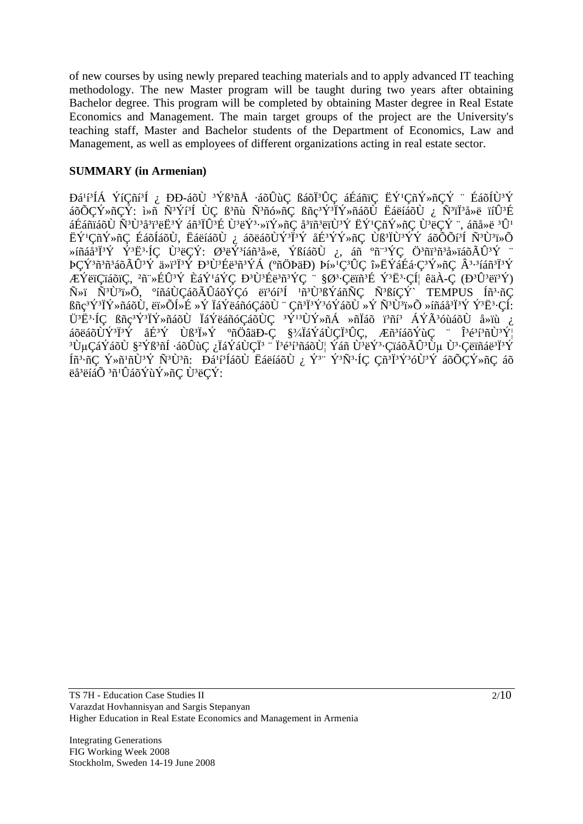of new courses by using newly prepared teaching materials and to apply advanced IT teaching methodology. The new Master program will be taught during two years after obtaining Bachelor degree. This program will be completed by obtaining Master degree in Real Estate Economics and Management. The main target groups of the project are the University's teaching staff, Master and Bachelor students of the Department of Economics, Law and Management, as well as employees of different organizations acting in real estate sector.

### **SUMMARY (in Armenian)**

Đá<sup>1</sup>í-ÍÁ ÝíÇñí<sup>3</sup>Í <sub>ċ</sub> ĐĐ-áõÙ <sup>3</sup>Ýß<sup>3</sup>ñÅ ∙áõÛùÇ ßáõÏ<sup>3</sup>ÛÇ áÉáñïÇ ËÝ'ÇñÝ»ñÇÝ ¨ ÉáõÍÙ<sup>3</sup>Ý áõÕÇÝ»ñÇÝ: ì»ñ Ñ<sup>3</sup>Ýí<sup>s</sup>Í ÙÇ ß<sup>3</sup>ñù Ñ<sup>3</sup>ñó»ñÇ ßñç<sup>3</sup>Ý<sup>3</sup>ÏÝ»ñáõÙ ËáëíáõÙ ¿ Ñ<sup>3</sup>ïÏ<sup>3</sup>å»ë ïíÛ<sup>3</sup>É áÉáñïáõ٠ѪÙªåªïªë˪Ý áñªÏÛªÉ Ùªëݪ⋅»ïÝ»ñÇ åªïñªëïÙªÝ ËÝ'ÇñÝ»ñÇ ÙªëÇÝ ¨, áñå»ë ªÛ' ËÝ<sup>1</sup>ÇñÝ»ñÇ ÉáõÍáõÙ, ËáëíáõÙ <sub>ἰ</sub>, áõëáõÙÝ<sup>3</sup>Ï<sup>3</sup>Ý åÉ<sup>3</sup>ÝÝ»ñÇ Ùß<sup>3</sup>ÏÙ<sup>3</sup>ÝÝ áõÕÕí<sup>3</sup>Í Ñ<sup>3</sup>Ù<sup>3</sup>ï»Õ Ȓñáå<sup>3</sup>Ï<sup>3</sup>Ý Ý<sup>3</sup>Ë<sup>3</sup>·ÍÇ Ù<sup>3</sup>ëÇÝ: Ø<sup>3</sup>ëÝ<sup>3</sup>íáñ<sup>3</sup>å»ë, ÝßíáõÙ ¿, áñ ºñ¨<sup>3</sup>ÝÇ Ö<sup>3</sup>ñï<sup>3</sup>ñ<sup>3</sup>å»ïáõÃÛ<sup>3</sup>Ý ¨ ÞÇÝ<sup>3</sup>ñ<sup>3</sup>ñ°áõÃÛ<sup>3</sup>Ý ä»ï<sup>3</sup>Ï<sup>3</sup>Ý Ð<sup>3</sup>Ù3Éë<sup>3</sup>ñ3ÝÁ (°ñÖÞäÐ) Þí»<sup>1</sup>Ç<sup>3</sup>ÛÇ î»ËÝáÉá·Ç<sup>3</sup>Ý»ñÇ Â<sup>3</sup>·<sup>3</sup>íáñ<sup>3</sup>Ï3Ý ÆÝëïÇïáõïÇ, <sup>2</sup>ñ¨»ÉÛ<sup>3</sup>Ý ÈáÝ'áÝÇ Đ<sup>3</sup>Ù<sup>3</sup>Éë<sup>3</sup>ñ<sup>3</sup>ÝÇ ¨ §Ø<sup>3</sup>·Çëïñ<sup>3</sup>É Ý<sup>3</sup>Ë<sup>3</sup>·Çͦ êäÀ-Ç (Đ<sup>3</sup>Ù<sup>3</sup>ëï<sup>3</sup>Ý) Ñ»ï Ñ<sup>3</sup>Ù<sup>3</sup>ï»Õ, °íñáÙÇáõÃÛáõÝÇó ëï<sup>3</sup>óí<sup>s</sup>Í <sup>1</sup>ñ<sup>3</sup>Ù<sup>3</sup>ßÝáñÑÇ Ñ<sup>3</sup>ßíÇÝ` TEMPUS Íñ<sup>3</sup>·ñÇ ßñç<sup>3</sup>Ý<sup>3</sup>ÏÝ»ñáõÙ, ëï»ÕÍ»É »Ý ÏáÝëáñóÇáõÙ ¨ Çñ<sup>3</sup>Ï<sup>3</sup>Ý<sup>3</sup>óÝáõÙ »Ý Ñ<sup>3</sup>Ù<sup>3</sup>ï»Õ »íñáå<sup>3</sup>Ï<sup>3</sup>Ý Ý<sup>3</sup>Ë<sup>3</sup>·ÇÍ: Ü<sup>3</sup>Ë<sup>3</sup>·ÍÇ ßñç<sup>3</sup>Ý<sup>3</sup>ÏÝ»ñáõÙ ÏáÝëáñóÇáõÙÇ <sup>3</sup>Ý<sup>13</sup>ÙÝ»ñÁ »ñÏáõ ï<sup>3</sup>ñí<sup>3</sup> ÁÝÃ<sup>3</sup>óùáõÙ å»ïù ¿ áõëáõÙÝ<sup>3</sup>Ï<sup>3</sup>Ý åÉ<sup>3</sup>Ý Ùß<sup>3</sup>Ï»Ý °ñÖâäÐ-Ç §¾ĨáÝáÙÇÏ<sup>3</sup>ÛÇ, Æñ<sup>3</sup>íáõÝùÇ ¨ Î<sup>3</sup>é<sup>3</sup>3°ñÙ<sup>3</sup>ݦ <sup>3</sup>ÙµÇáÝáõÙ §<sup>2</sup>Ýß<sup>3</sup>ñÍ ∙áõÛùÇ ¿ÏáÝáÙÇÏ<sup>3</sup> ¨ Ï<sup>3</sup>é<sup>3</sup>í<sup>3</sup>ñáõÙ¦ Ýáñ Ù<sup>3</sup>ëÝ<sup>3</sup>∙ÇïáõÃÛ<sup>3</sup>Ùµ Ù<sup>3</sup>∙Çëïñáë<sup>3</sup>Ï3Ý Íñ<sup>3</sup>·ñÇ Ý»ñ<sup>1</sup>ñÙ<sup>3</sup>Ý Ñ<sup>3</sup>Ù<sup>3</sup>ñ: Dá<sup>1</sup>í<sup>3</sup>ÍáõÙ ËáëíáõÙ ¿ Ý<sup>3</sup>¨ Ý<sup>3</sup>Ñ<sup>3</sup>·ÍÇ Çñ<sup>3</sup>Ï<sup>3</sup>Ý<sup>3</sup>óÙ<sup>3</sup>Ý áõÕÇÝ»ñÇ áõ ëå<sup>3</sup>ëíáÕ <sup>3</sup>ñ<sup>1</sup>ÛáõÝùÝ»ñÇ Ù<sup>3</sup>ëÇÝ: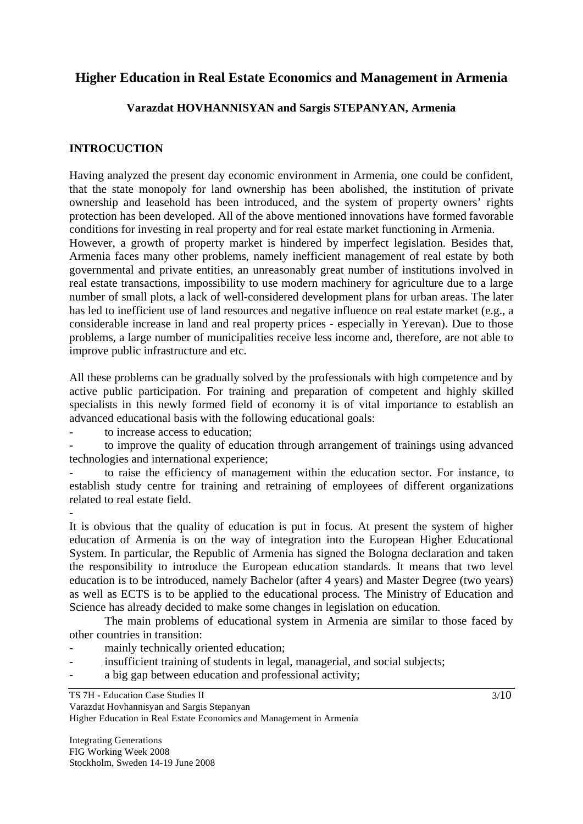# **Higher Education in Real Estate Economics and Management in Armenia**

### **Varazdat HOVHANNISYAN and Sargis STEPANYAN, Armenia**

## **INTROCUCTION**

Having analyzed the present day economic environment in Armenia, one could be confident, that the state monopoly for land ownership has been abolished, the institution of private ownership and leasehold has been introduced, and the system of property owners' rights protection has been developed. All of the above mentioned innovations have formed favorable conditions for investing in real property and for real estate market functioning in Armenia. However, a growth of property market is hindered by imperfect legislation. Besides that, Armenia faces many other problems, namely inefficient management of real estate by both governmental and private entities, an unreasonably great number of institutions involved in real estate transactions, impossibility to use modern machinery for agriculture due to a large number of small plots, a lack of well-considered development plans for urban areas. The later has led to inefficient use of land resources and negative influence on real estate market (e.g., a considerable increase in land and real property prices - especially in Yerevan). Due to those problems, a large number of municipalities receive less income and, therefore, are not able to improve public infrastructure and etc.

All these problems can be gradually solved by the professionals with high competence and by active public participation. For training and preparation of competent and highly skilled specialists in this newly formed field of economy it is of vital importance to establish an advanced educational basis with the following educational goals:

to increase access to education;

-

to improve the quality of education through arrangement of trainings using advanced technologies and international experience;

to raise the efficiency of management within the education sector. For instance, to establish study centre for training and retraining of employees of different organizations related to real estate field.

It is obvious that the quality of education is put in focus. At present the system of higher education of Armenia is on the way of integration into the European Higher Educational System. In particular, the Republic of Armenia has signed the Bologna declaration and taken the responsibility to introduce the European education standards. It means that two level education is to be introduced, namely Bachelor (after 4 years) and Master Degree (two years) as well as ECTS is to be applied to the educational process. The Ministry of Education and Science has already decided to make some changes in legislation on education.

 The main problems of educational system in Armenia are similar to those faced by other countries in transition:

- mainly technically oriented education:
- insufficient training of students in legal, managerial, and social subjects;
- a big gap between education and professional activity;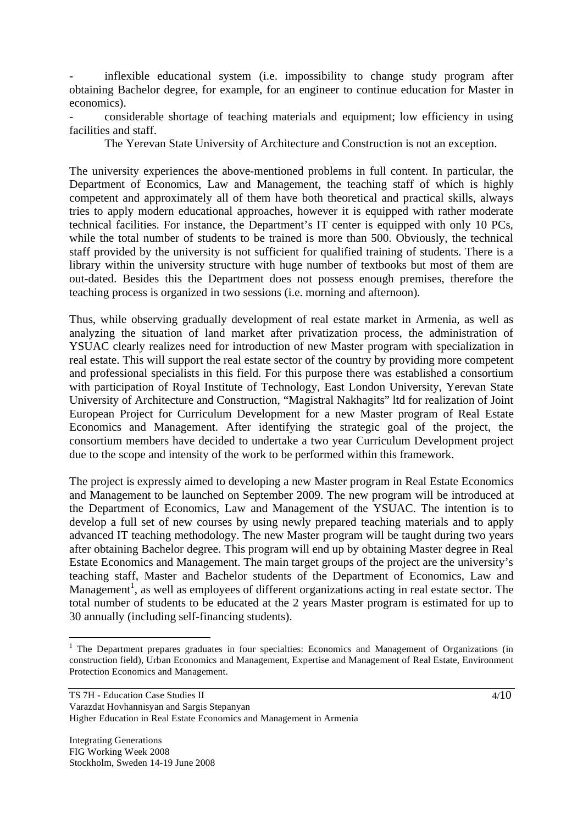inflexible educational system (i.e. impossibility to change study program after obtaining Bachelor degree, for example, for an engineer to continue education for Master in economics).

- considerable shortage of teaching materials and equipment; low efficiency in using facilities and staff.

The Yerevan State University of Architecture and Construction is not an exception.

The university experiences the above-mentioned problems in full content. In particular, the Department of Economics, Law and Management, the teaching staff of which is highly competent and approximately all of them have both theoretical and practical skills, always tries to apply modern educational approaches, however it is equipped with rather moderate technical facilities. For instance, the Department's IT center is equipped with only 10 PCs, while the total number of students to be trained is more than 500. Obviously, the technical staff provided by the university is not sufficient for qualified training of students. There is a library within the university structure with huge number of textbooks but most of them are out-dated. Besides this the Department does not possess enough premises, therefore the teaching process is organized in two sessions (i.e. morning and afternoon).

Thus, while observing gradually development of real estate market in Armenia, as well as analyzing the situation of land market after privatization process, the administration of YSUAC clearly realizes need for introduction of new Master program with specialization in real estate. This will support the real estate sector of the country by providing more competent and professional specialists in this field. For this purpose there was established a consortium with participation of Royal Institute of Technology, East London University, Yerevan State University of Architecture and Construction, "Magistral Nakhagits" ltd for realization of Joint European Project for Curriculum Development for a new Master program of Real Estate Economics and Management. After identifying the strategic goal of the project, the consortium members have decided to undertake a two year Curriculum Development project due to the scope and intensity of the work to be performed within this framework.

The project is expressly aimed to developing a new Master program in Real Estate Economics and Management to be launched on September 2009. The new program will be introduced at the Department of Economics, Law and Management of the YSUAC. The intention is to develop a full set of new courses by using newly prepared teaching materials and to apply advanced IT teaching methodology. The new Master program will be taught during two years after obtaining Bachelor degree. This program will end up by obtaining Master degree in Real Estate Economics and Management. The main target groups of the project are the university's teaching staff, Master and Bachelor students of the Department of Economics, Law and Management<sup>1</sup>, as well as employees of different organizations acting in real estate sector. The total number of students to be educated at the 2 years Master program is estimated for up to 30 annually (including self-financing students).

<sup>&</sup>lt;sup>1</sup> The Department prepares graduates in four specialties: Economics and Management of Organizations (in construction field), Urban Economics and Management, Expertise and Management of Real Estate, Environment Protection Economics and Management.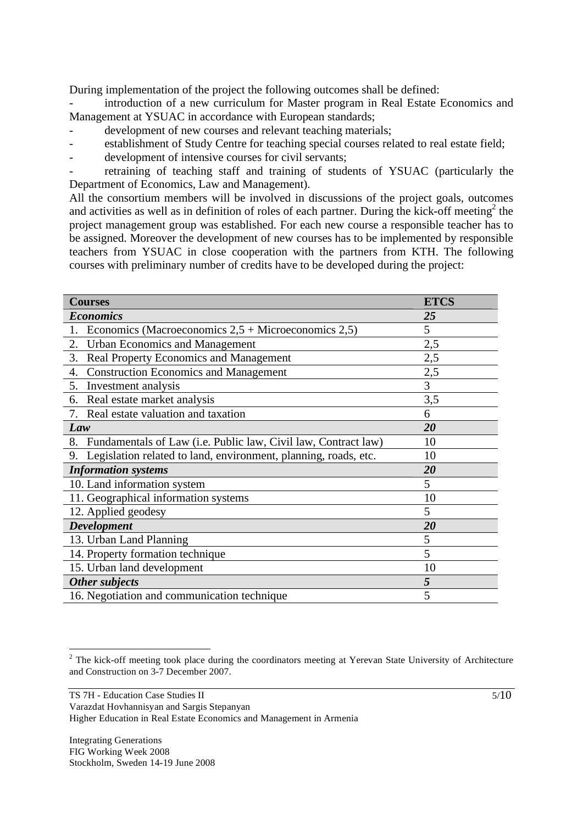During implementation of the project the following outcomes shall be defined:

introduction of a new curriculum for Master program in Real Estate Economics and Management at YSUAC in accordance with European standards;

- development of new courses and relevant teaching materials;
- establishment of Study Centre for teaching special courses related to real estate field;
- development of intensive courses for civil servants;

retraining of teaching staff and training of students of YSUAC (particularly the Department of Economics, Law and Management).

All the consortium members will be involved in discussions of the project goals, outcomes and activities as well as in definition of roles of each partner. During the kick-off meeting<sup>2</sup> the project management group was established. For each new course a responsible teacher has to be assigned. Moreover the development of new courses has to be implemented by responsible teachers from YSUAC in close cooperation with the partners from KTH. The following courses with preliminary number of credits have to be developed during the project:

| <b>Courses</b>                                                        | <b>ETCS</b> |
|-----------------------------------------------------------------------|-------------|
| <b>Economics</b>                                                      | 25          |
| Economics (Macroeconomics $2,5 +$ Microeconomics $2,5$ )<br>1.        | 5           |
| <b>Urban Economics and Management</b><br>2.                           | 2,5         |
| Real Property Economics and Management<br>3.                          | 2,5         |
| <b>Construction Economics and Management</b><br>4.                    | 2,5         |
| 5.<br>Investment analysis                                             | 3           |
| Real estate market analysis<br>6.                                     | 3,5         |
| Real estate valuation and taxation<br>7.                              | 6           |
| Law                                                                   | 20          |
| Fundamentals of Law (i.e. Public law, Civil law, Contract law)<br>8.  | 10          |
| Legislation related to land, environment, planning, roads, etc.<br>9. | 10          |
| <b>Information</b> systems                                            | 20          |
| 10. Land information system                                           | 5           |
| 11. Geographical information systems                                  | 10          |
| 12. Applied geodesy                                                   | 5           |
| <b>Development</b>                                                    | 20          |
| 13. Urban Land Planning                                               | 5           |
| 14. Property formation technique                                      | 5           |
| 15. Urban land development                                            | 10          |
| Other subjects                                                        | 5           |
| 16. Negotiation and communication technique                           | 5           |

 $\overline{a}$  $2$  The kick-off meeting took place during the coordinators meeting at Yerevan State University of Architecture and Construction on 3-7 December 2007.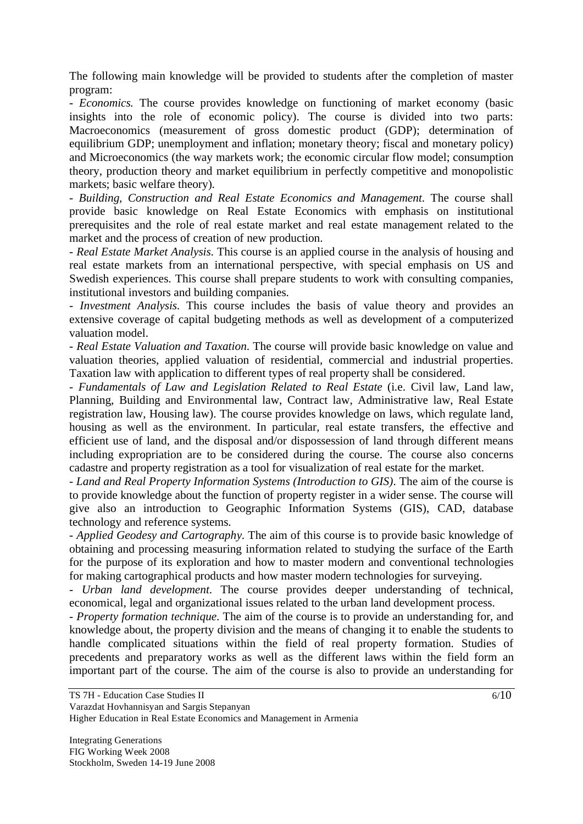The following main knowledge will be provided to students after the completion of master program:

*- Economics.* The course provides knowledge on functioning of market economy (basic insights into the role of economic policy). The course is divided into two parts: Macroeconomics (measurement of gross domestic product (GDP); determination of equilibrium GDP; unemployment and inflation; monetary theory; fiscal and monetary policy) and Microeconomics (the way markets work; the economic circular flow model; consumption theory, production theory and market equilibrium in perfectly competitive and monopolistic markets; basic welfare theory).

*- Building, Construction and Real Estate Economics and Management*. The course shall provide basic knowledge on Real Estate Economics with emphasis on institutional prerequisites and the role of real estate market and real estate management related to the market and the process of creation of new production.

*- Real Estate Market Analysis*. This course is an applied course in the analysis of housing and real estate markets from an international perspective, with special emphasis on US and Swedish experiences. This course shall prepare students to work with consulting companies, institutional investors and building companies.

*- Investment Analysis*. This course includes the basis of value theory and provides an extensive coverage of capital budgeting methods as well as development of a computerized valuation model.

*- Real Estate Valuation and Taxation*. The course will provide basic knowledge on value and valuation theories, applied valuation of residential, commercial and industrial properties. Taxation law with application to different types of real property shall be considered.

*- Fundamentals of Law and Legislation Related to Real Estate* (i.e. Civil law, Land law, Planning, Building and Environmental law, Contract law, Administrative law, Real Estate registration law, Housing law). The course provides knowledge on laws, which regulate land, housing as well as the environment. In particular, real estate transfers, the effective and efficient use of land, and the disposal and/or dispossession of land through different means including expropriation are to be considered during the course. The course also concerns cadastre and property registration as a tool for visualization of real estate for the market.

*- Land and Real Property Information Systems (Introduction to GIS)*. The aim of the course is to provide knowledge about the function of property register in a wider sense. The course will give also an introduction to Geographic Information Systems (GIS), CAD, database technology and reference systems.

*- Applied Geodesy and Cartography*. The aim of this course is to provide basic knowledge of obtaining and processing measuring information related to studying the surface of the Earth for the purpose of its exploration and how to master modern and conventional technologies for making cartographical products and how master modern technologies for surveying.

*- Urban land development*. The course provides deeper understanding of technical, economical, legal and organizational issues related to the urban land development process.

*- Property formation technique*. The aim of the course is to provide an understanding for, and knowledge about, the property division and the means of changing it to enable the students to handle complicated situations within the field of real property formation. Studies of precedents and preparatory works as well as the different laws within the field form an important part of the course. The aim of the course is also to provide an understanding for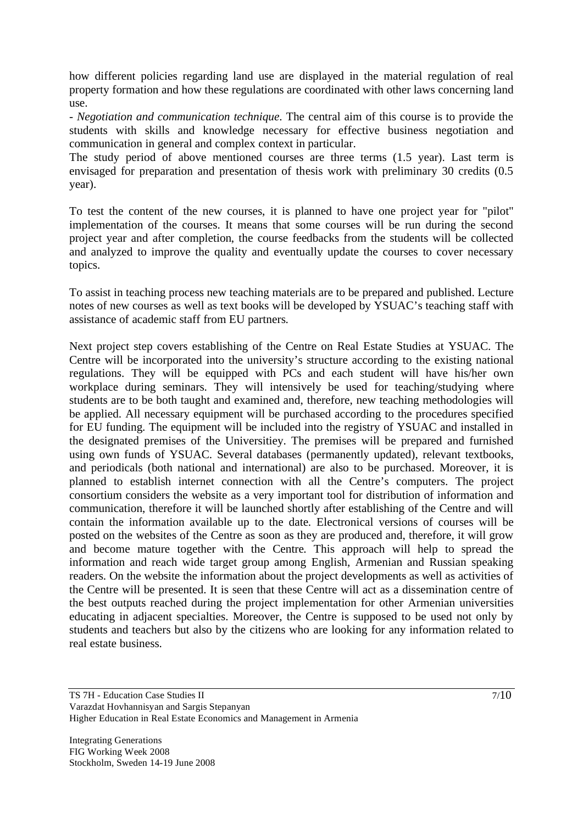how different policies regarding land use are displayed in the material regulation of real property formation and how these regulations are coordinated with other laws concerning land use.

*- Negotiation and communication technique*. The central aim of this course is to provide the students with skills and knowledge necessary for effective business negotiation and communication in general and complex context in particular.

The study period of above mentioned courses are three terms (1.5 year). Last term is envisaged for preparation and presentation of thesis work with preliminary 30 credits (0.5 year).

To test the content of the new courses, it is planned to have one project year for "pilot" implementation of the courses. It means that some courses will be run during the second project year and after completion, the course feedbacks from the students will be collected and analyzed to improve the quality and eventually update the courses to cover necessary topics.

To assist in teaching process new teaching materials are to be prepared and published. Lecture notes of new courses as well as text books will be developed by YSUAC's teaching staff with assistance of academic staff from EU partners.

Next project step covers establishing of the Centre on Real Estate Studies at YSUAC. The Centre will be incorporated into the university's structure according to the existing national regulations. They will be equipped with PCs and each student will have his/her own workplace during seminars. They will intensively be used for teaching/studying where students are to be both taught and examined and, therefore, new teaching methodologies will be applied. All necessary equipment will be purchased according to the procedures specified for EU funding. The equipment will be included into the registry of YSUAC and installed in the designated premises of the Universitiey. The premises will be prepared and furnished using own funds of YSUAC. Several databases (permanently updated), relevant textbooks, and periodicals (both national and international) are also to be purchased. Moreover, it is planned to establish internet connection with all the Centre's computers. The project consortium considers the website as a very important tool for distribution of information and communication, therefore it will be launched shortly after establishing of the Centre and will contain the information available up to the date. Electronical versions of courses will be posted on the websites of the Centre as soon as they are produced and, therefore, it will grow and become mature together with the Centre. This approach will help to spread the information and reach wide target group among English, Armenian and Russian speaking readers. On the website the information about the project developments as well as activities of the Centre will be presented. It is seen that these Centre will act as a dissemination centre of the best outputs reached during the project implementation for other Armenian universities educating in adjacent specialties. Moreover, the Centre is supposed to be used not only by students and teachers but also by the citizens who are looking for any information related to real estate business.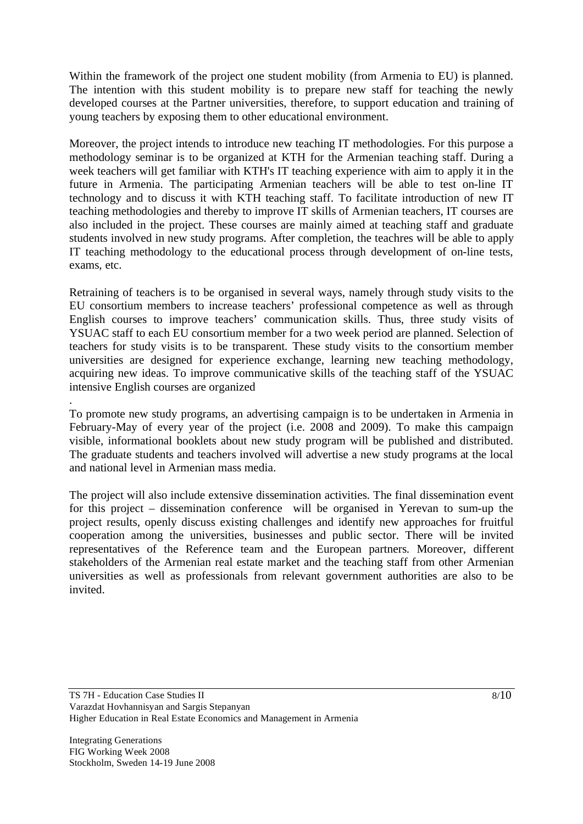Within the framework of the project one student mobility (from Armenia to EU) is planned. The intention with this student mobility is to prepare new staff for teaching the newly developed courses at the Partner universities, therefore, to support education and training of young teachers by exposing them to other educational environment.

Moreover, the project intends to introduce new teaching IT methodologies. For this purpose a methodology seminar is to be organized at KTH for the Armenian teaching staff. During a week teachers will get familiar with KTH's IT teaching experience with aim to apply it in the future in Armenia. The participating Armenian teachers will be able to test on-line IT technology and to discuss it with KTH teaching staff. To facilitate introduction of new IT teaching methodologies and thereby to improve IT skills of Armenian teachers, IT courses are also included in the project. These courses are mainly aimed at teaching staff and graduate students involved in new study programs. After completion, the teachres will be able to apply IT teaching methodology to the educational process through development of on-line tests, exams, etc.

Retraining of teachers is to be organised in several ways, namely through study visits to the EU consortium members to increase teachers' professional competence as well as through English courses to improve teachers' communication skills. Thus, three study visits of YSUAC staff to each EU consortium member for a two week period are planned. Selection of teachers for study visits is to be transparent. These study visits to the consortium member universities are designed for experience exchange, learning new teaching methodology, acquiring new ideas. To improve communicative skills of the teaching staff of the YSUAC intensive English courses are organized

To promote new study programs, an advertising campaign is to be undertaken in Armenia in February-May of every year of the project (i.e. 2008 and 2009). To make this campaign visible, informational booklets about new study program will be published and distributed. The graduate students and teachers involved will advertise a new study programs at the local and national level in Armenian mass media.

The project will also include extensive dissemination activities. The final dissemination event for this project – dissemination conference will be organised in Yerevan to sum-up the project results, openly discuss existing challenges and identify new approaches for fruitful cooperation among the universities, businesses and public sector. There will be invited representatives of the Reference team and the European partners. Moreover, different stakeholders of the Armenian real estate market and the teaching staff from other Armenian universities as well as professionals from relevant government authorities are also to be invited.

.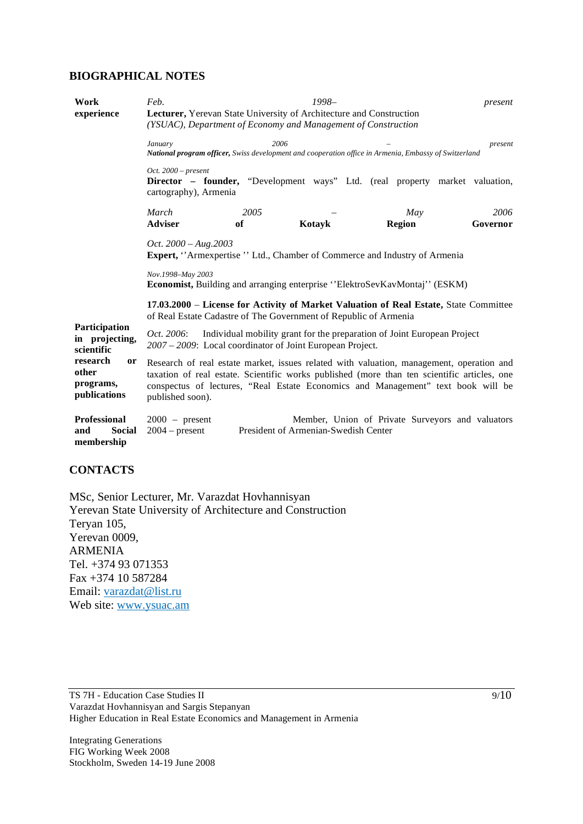#### **BIOGRAPHICAL NOTES**

| Work<br>experience                                          | $1998-$<br>Feb.<br>present<br>Lecturer, Yerevan State University of Architecture and Construction<br>(YSUAC), Department of Economy and Management of Construction                                                                                                                              |      |                                      |               |                                                  |  |
|-------------------------------------------------------------|-------------------------------------------------------------------------------------------------------------------------------------------------------------------------------------------------------------------------------------------------------------------------------------------------|------|--------------------------------------|---------------|--------------------------------------------------|--|
|                                                             | January<br>National program officer, Swiss development and cooperation office in Armenia, Embassy of Switzerland                                                                                                                                                                                | 2006 |                                      |               | present                                          |  |
|                                                             | Oct. $2000$ – present<br><b>Director</b> – <b>founder</b> , "Development ways" Ltd. (real property market valuation,<br>cartography), Armenia                                                                                                                                                   |      |                                      |               |                                                  |  |
|                                                             | March                                                                                                                                                                                                                                                                                           | 2005 |                                      | May           | 2006                                             |  |
|                                                             | <b>Adviser</b>                                                                                                                                                                                                                                                                                  | of   | Kotavk                               | <b>Region</b> | Governor                                         |  |
|                                                             | Oct. $2000 - Aug. 2003$<br><b>Expert, "Armexpertise " Ltd., Chamber of Commerce and Industry of Armenia</b><br>Nov.1998-May 2003<br><b>Economist, Building and arranging enterprise "ElektroSevKavMontaj" (ESKM)</b>                                                                            |      |                                      |               |                                                  |  |
|                                                             | 17.03.2000 – License for Activity of Market Valuation of Real Estate, State Committee<br>of Real Estate Cadastre of The Government of Republic of Armenia                                                                                                                                       |      |                                      |               |                                                  |  |
| Participation<br>in projecting,<br>scientific               | Individual mobility grant for the preparation of Joint European Project<br><i>Oct.</i> 2006:<br>2007 – 2009: Local coordinator of Joint European Project.                                                                                                                                       |      |                                      |               |                                                  |  |
| research<br><b>or</b><br>other<br>programs,<br>publications | Research of real estate market, issues related with valuation, management, operation and<br>taxation of real estate. Scientific works published (more than ten scientific articles, one<br>conspectus of lectures, "Real Estate Economics and Management" text book will be<br>published soon). |      |                                      |               |                                                  |  |
| <b>Professional</b><br><b>Social</b><br>and<br>membership   | $2000 -$ present<br>$2004$ – present                                                                                                                                                                                                                                                            |      | President of Armenian-Swedish Center |               | Member, Union of Private Surveyors and valuators |  |

### **CONTACTS**

MSc, Senior Lecturer, Mr. Varazdat Hovhannisyan Yerevan State University of Architecture and Construction Teryan 105, Yerevan 0009, ARMENIA Tel. +374 93 071353 Fax +374 10 587284 Email: varazdat@list.ru Web site: www.ysuac.am